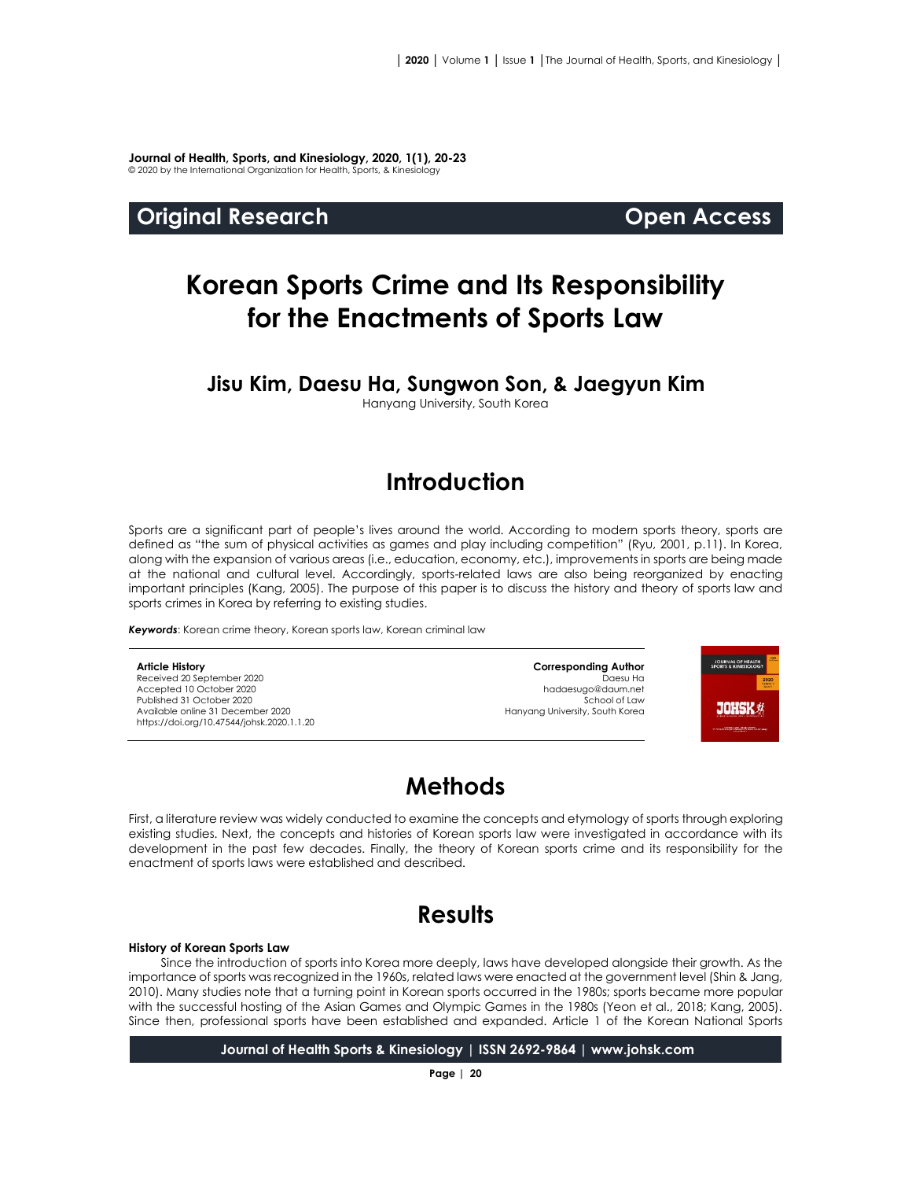**Journal of Health, Sports, and Kinesiology, 2020, 1(1), 20-23** © 2020 by the International Organization for Health, Sports, & Kinesiology

### **Original Research Open Access**

# **Korean Sports Crime and Its Responsibility for the Enactments of Sports Law**

### **Jisu Kim, Daesu Ha, Sungwon Son, & Jaegyun Kim**

Hanyang University, South Korea

# **Introduction**

Sports are a significant part of people's lives around the world. According to modern sports theory, sports are defined as "the sum of physical activities as games and play including competition" (Ryu, 2001, p.11). In Korea, along with the expansion of various areas (i.e., education, economy, etc.), improvements in sports are being made at the national and cultural level. Accordingly, sports-related laws are also being reorganized by enacting important principles (Kang, 2005). The purpose of this paper is to discuss the history and theory of sports law and sports crimes in Korea by referring to existing studies.

*Keywords*: Korean crime theory, Korean sports law, Korean criminal law

#### **Article History**

Received 20 September 2020 Accepted 10 October 2020 Published 31 October 2020 Available online 31 December 2020 [https://doi.org/10.47544/johsk.2020.1.1.2](https://doi.org/10.47544/johsk.2020.1.1.9)0

**Corresponding Author** Daesu Ha hadaesugo@daum.net School of Law Hanyang University, South Korea



# **Methods**

First, a literature review was widely conducted to examine the concepts and etymology of sports through exploring existing studies. Next, the concepts and histories of Korean sports law were investigated in accordance with its development in the past few decades. Finally, the theory of Korean sports crime and its responsibility for the enactment of sports laws were established and described.

# **Results**

#### **History of Korean Sports Law**

Since the introduction of sports into Korea more deeply, laws have developed alongside their growth. As the importance of sports was recognized in the 1960s, related laws were enacted at the government level (Shin & Jang, 2010). Many studies note that a turning point in Korean sports occurred in the 1980s; sports became more popular with the successful hosting of the Asian Games and Olympic Games in the 1980s (Yeon et al., 2018; Kang, 2005). Since then, professional sports have been established and expanded. Article 1 of the Korean National Sports

**Journal of Health Sports & Kinesiology | ISSN 2692-9864 | www.johsk.com**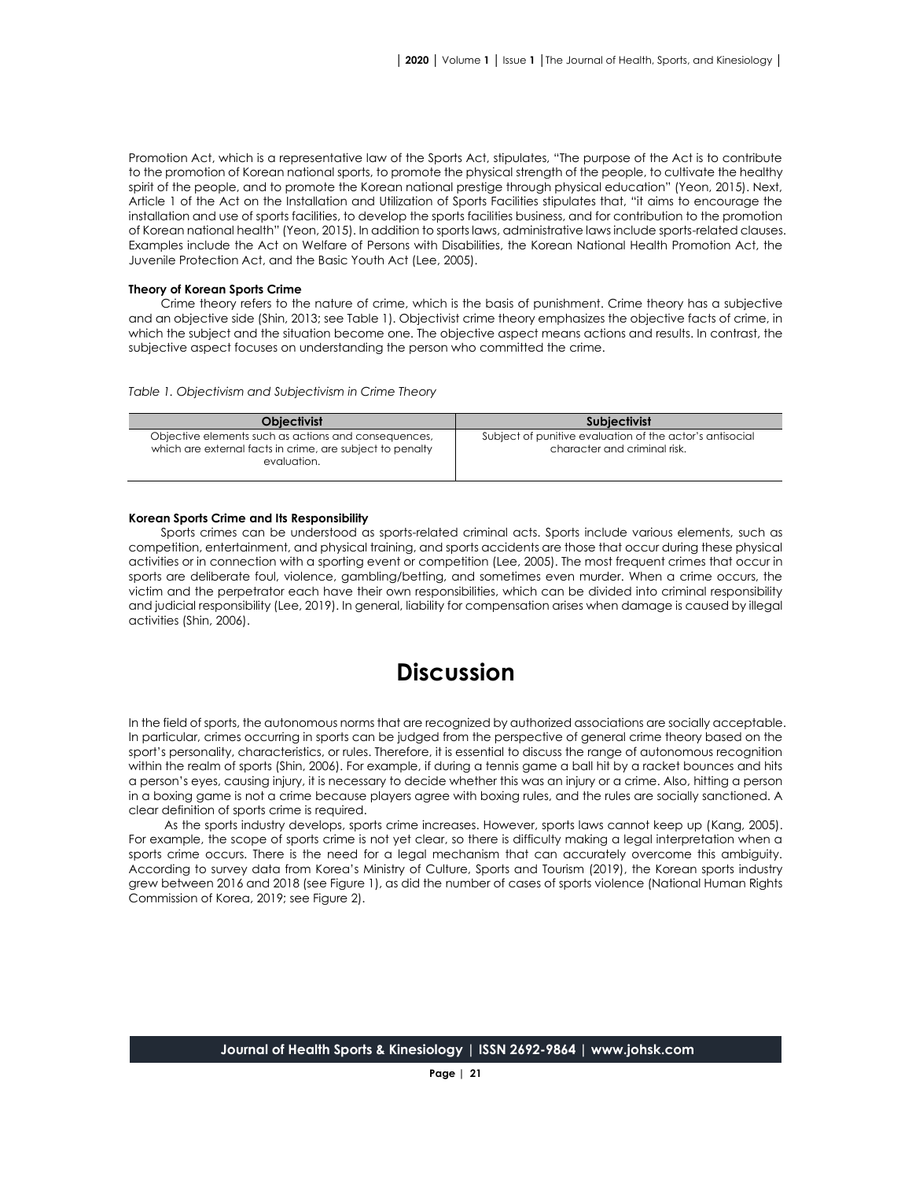Promotion Act, which is a representative law of the Sports Act, stipulates, "The purpose of the Act is to contribute to the promotion of Korean national sports, to promote the physical strength of the people, to cultivate the healthy spirit of the people, and to promote the Korean national prestige through physical education" (Yeon, 2015). Next, Article 1 of the Act on the Installation and Utilization of Sports Facilities stipulates that, "it aims to encourage the installation and use of sports facilities, to develop the sports facilities business, and for contribution to the promotion of Korean national health" (Yeon, 2015). In addition to sports laws, administrative laws include sports-related clauses. Examples include the Act on Welfare of Persons with Disabilities, the Korean National Health Promotion Act, the Juvenile Protection Act, and the Basic Youth Act (Lee, 2005).

#### **Theory of Korean Sports Crime**

Crime theory refers to the nature of crime, which is the basis of punishment. Crime theory has a subjective and an objective side (Shin, 2013; see Table 1). Objectivist crime theory emphasizes the objective facts of crime, in which the subject and the situation become one. The objective aspect means actions and results. In contrast, the subjective aspect focuses on understanding the person who committed the crime.

*Table 1. Objectivism and Subjectivism in Crime Theory*

| <b>Objectivist</b>                                                                                                               | <b>Subjectivist</b>                                                                      |
|----------------------------------------------------------------------------------------------------------------------------------|------------------------------------------------------------------------------------------|
| Objective elements such as actions and consequences,<br>which are external facts in crime, are subject to penalty<br>evaluation. | Subject of punitive evaluation of the actor's antisocial<br>character and criminal risk. |

#### **Korean Sports Crime and Its Responsibility**

Sports crimes can be understood as sports-related criminal acts. Sports include various elements, such as competition, entertainment, and physical training, and sports accidents are those that occur during these physical activities or in connection with a sporting event or competition (Lee, 2005). The most frequent crimes that occur in sports are deliberate foul, violence, gambling/betting, and sometimes even murder. When a crime occurs, the victim and the perpetrator each have their own responsibilities, which can be divided into criminal responsibility and judicial responsibility (Lee, 2019). In general, liability for compensation arises when damage is caused by illegal activities (Shin, 2006).

### **Discussion**

In the field of sports, the autonomous norms that are recognized by authorized associations are socially acceptable. In particular, crimes occurring in sports can be judged from the perspective of general crime theory based on the sport's personality, characteristics, or rules. Therefore, it is essential to discuss the range of autonomous recognition within the realm of sports (Shin, 2006). For example, if during a tennis game a ball hit by a racket bounces and hits a person's eyes, causing injury, it is necessary to decide whether this was an injury or a crime. Also, hitting a person in a boxing game is not a crime because players agree with boxing rules, and the rules are socially sanctioned. A clear definition of sports crime is required.

As the sports industry develops, sports crime increases. However, sports laws cannot keep up (Kang, 2005). For example, the scope of sports crime is not yet clear, so there is difficulty making a legal interpretation when a sports crime occurs. There is the need for a legal mechanism that can accurately overcome this ambiguity. According to survey data from Korea's Ministry of Culture, Sports and Tourism (2019), the Korean sports industry grew between 2016 and 2018 (see Figure 1), as did the number of cases of sports violence (National Human Rights Commission of Korea, 2019; see Figure 2).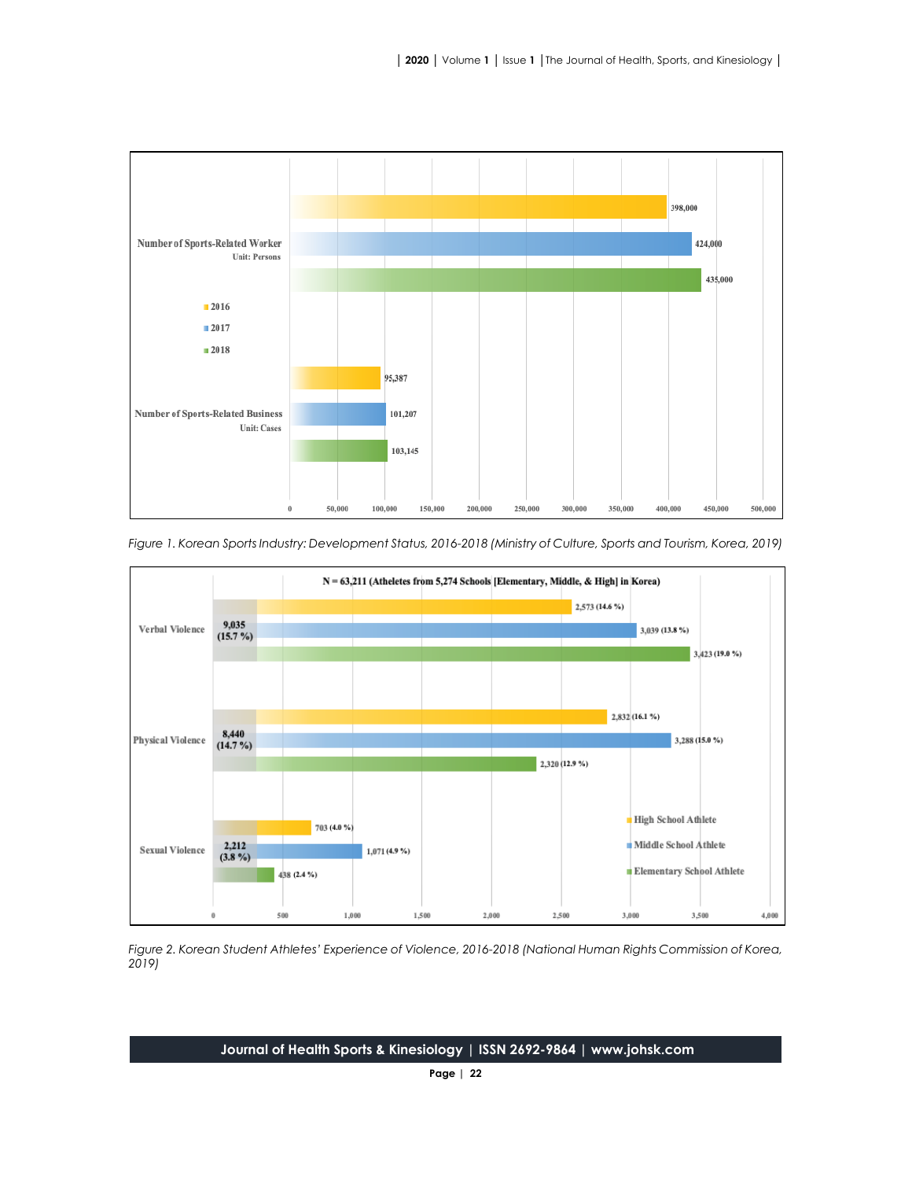



*Figure 1. Korean Sports Industry: Development Status, 2016-2018 (Ministry of Culture, Sports and Tourism, Korea, 2019)*

*Figure 2. Korean Student Athletes' Experience of Violence, 2016-2018 (National Human Rights Commission of Korea, 2019)*

**Journal of Health Sports & Kinesiology | ISSN 2692-9864 | www.johsk.com**